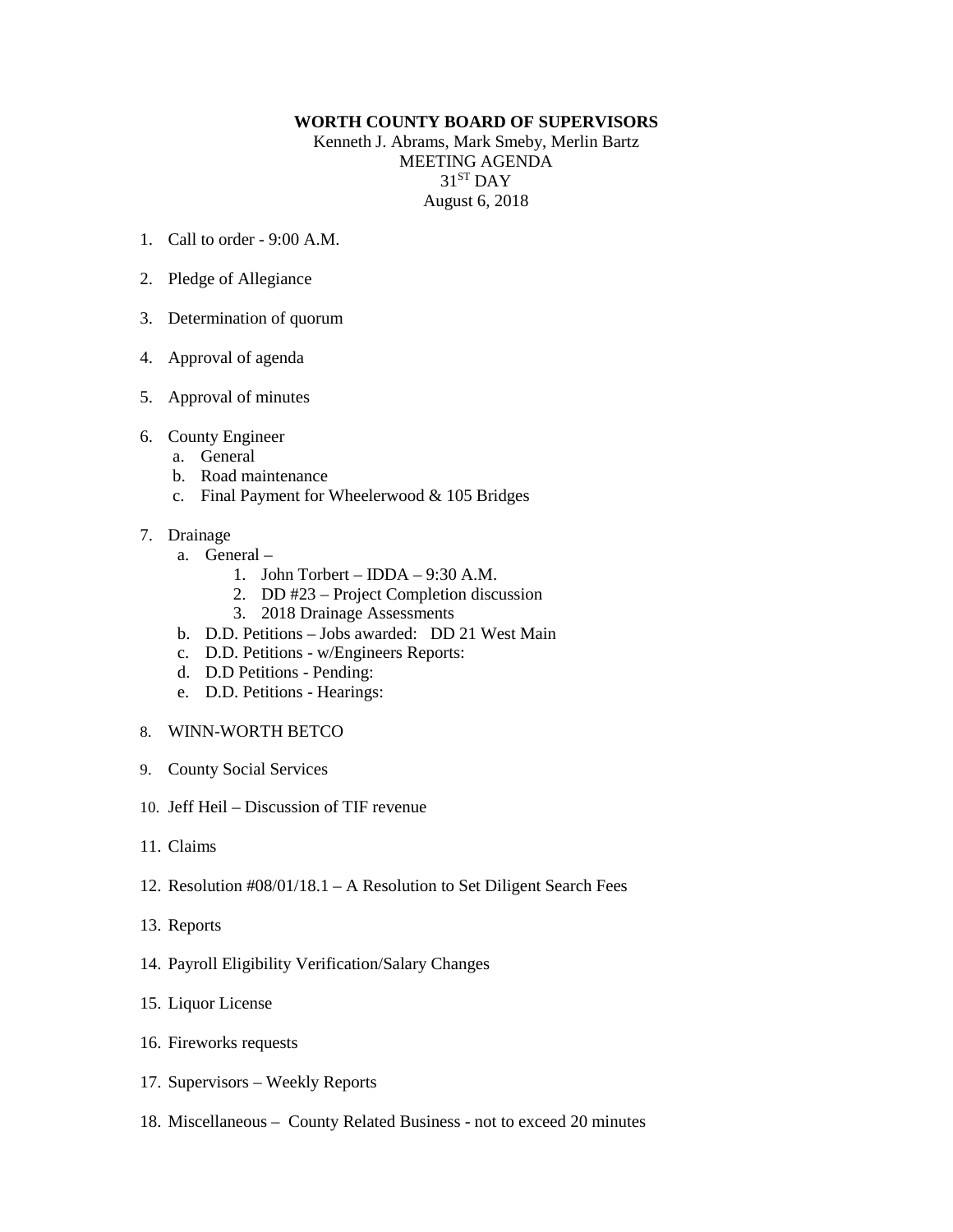## **WORTH COUNTY BOARD OF SUPERVISORS**

Kenneth J. Abrams, Mark Smeby, Merlin Bartz MEETING AGENDA 31<sup>ST</sup> DAY August 6, 2018

- 1. Call to order 9:00 A.M.
- 2. Pledge of Allegiance
- 3. Determination of quorum
- 4. Approval of agenda
- 5. Approval of minutes
- 6. County Engineer
	- a. General
	- b. Road maintenance
	- c. Final Payment for Wheelerwood & 105 Bridges
- 7. Drainage
	- a. General
		- 1. John Torbert IDDA 9:30 A.M.
		- 2. DD #23 Project Completion discussion
		- 3. 2018 Drainage Assessments
	- b. D.D. Petitions Jobs awarded: DD 21 West Main
	- c. D.D. Petitions w/Engineers Reports:
	- d. D.D Petitions Pending:
	- e. D.D. Petitions Hearings:
- 8. WINN-WORTH BETCO
- 9. County Social Services
- 10. Jeff Heil Discussion of TIF revenue
- 11. Claims
- 12. Resolution #08/01/18.1 A Resolution to Set Diligent Search Fees
- 13. Reports
- 14. Payroll Eligibility Verification/Salary Changes
- 15. Liquor License
- 16. Fireworks requests
- 17. Supervisors Weekly Reports
- 18. Miscellaneous County Related Business not to exceed 20 minutes